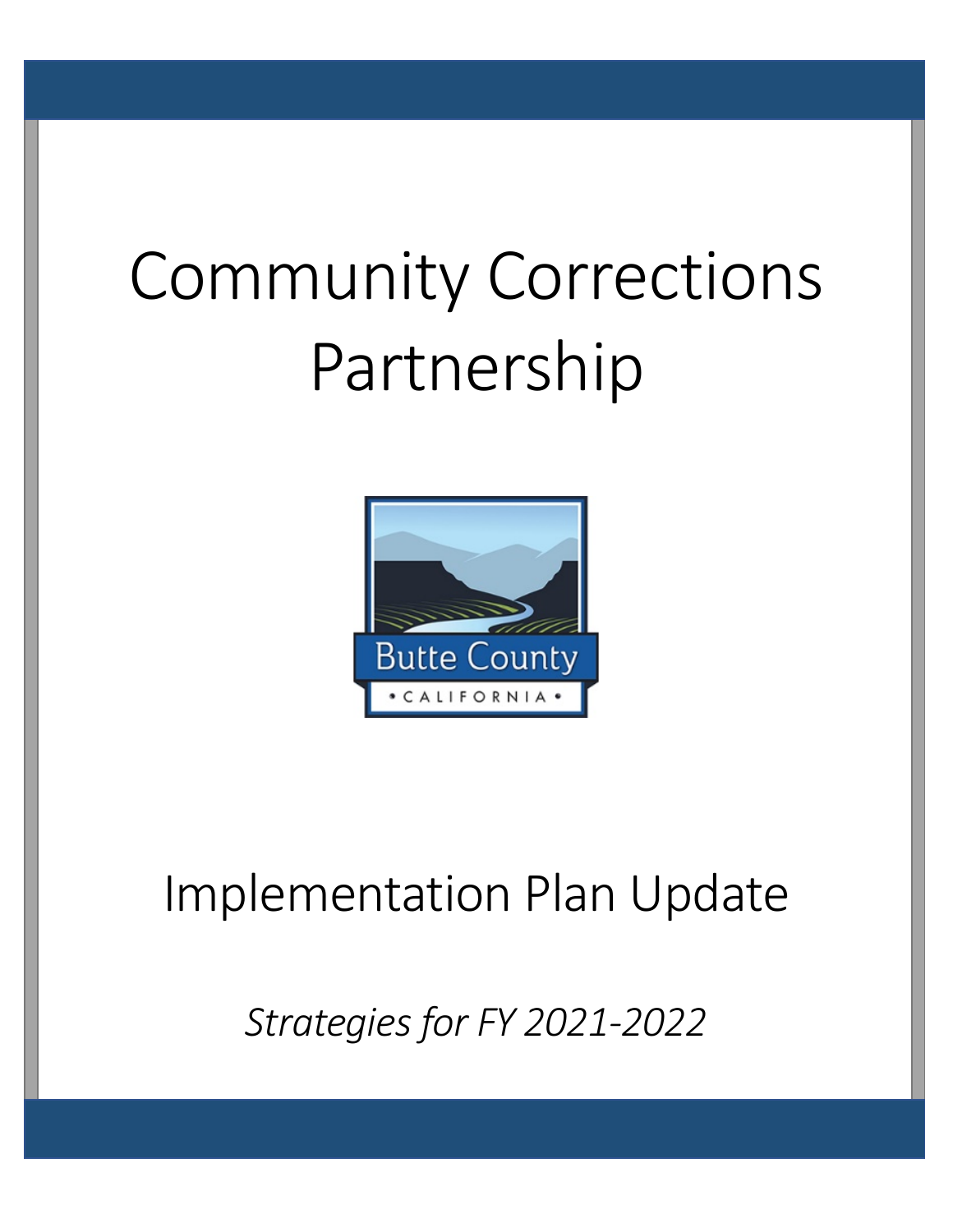# Community Corrections Partnership



# Implementation Plan Update

*Strategies for FY 2021-2022*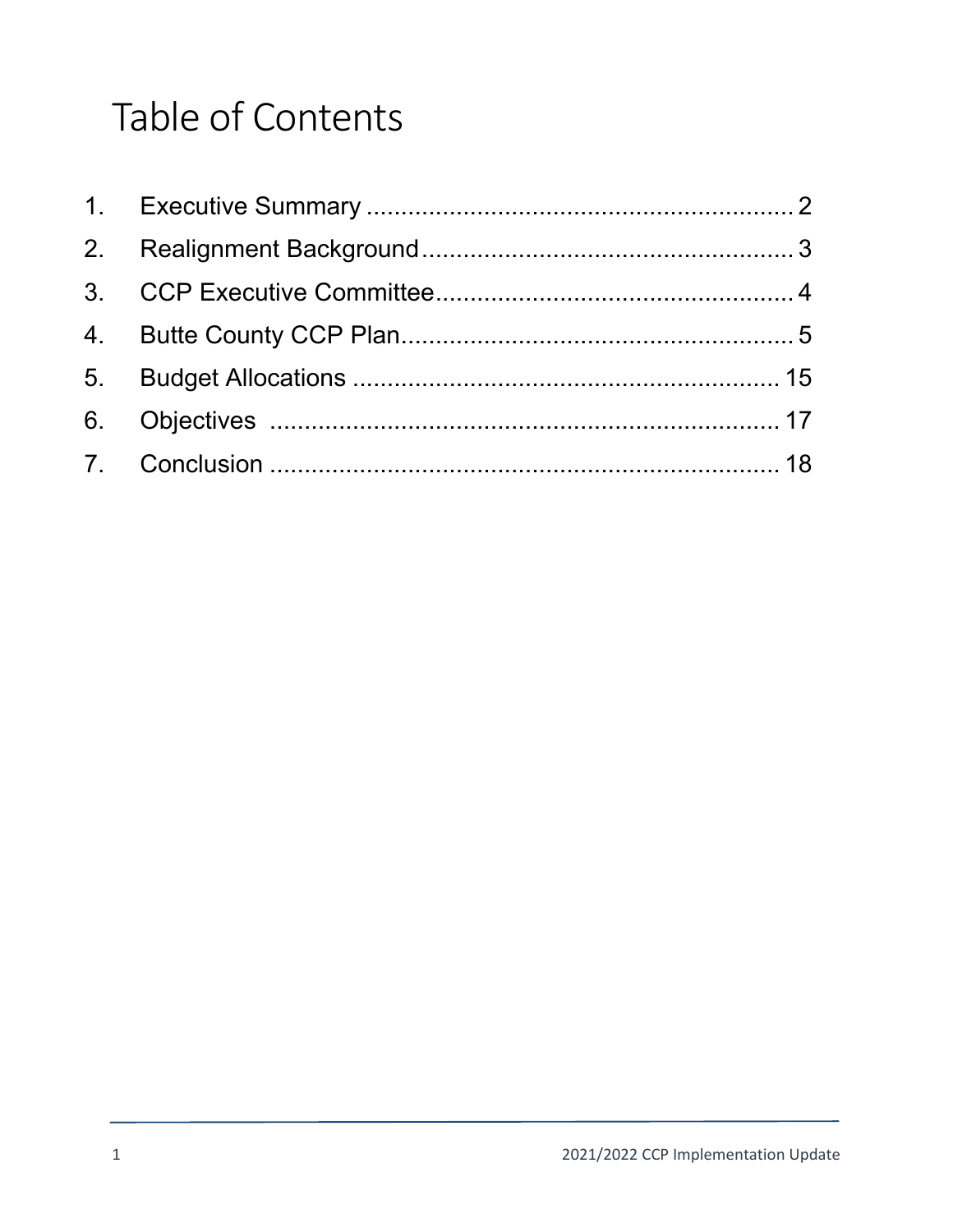# Table of Contents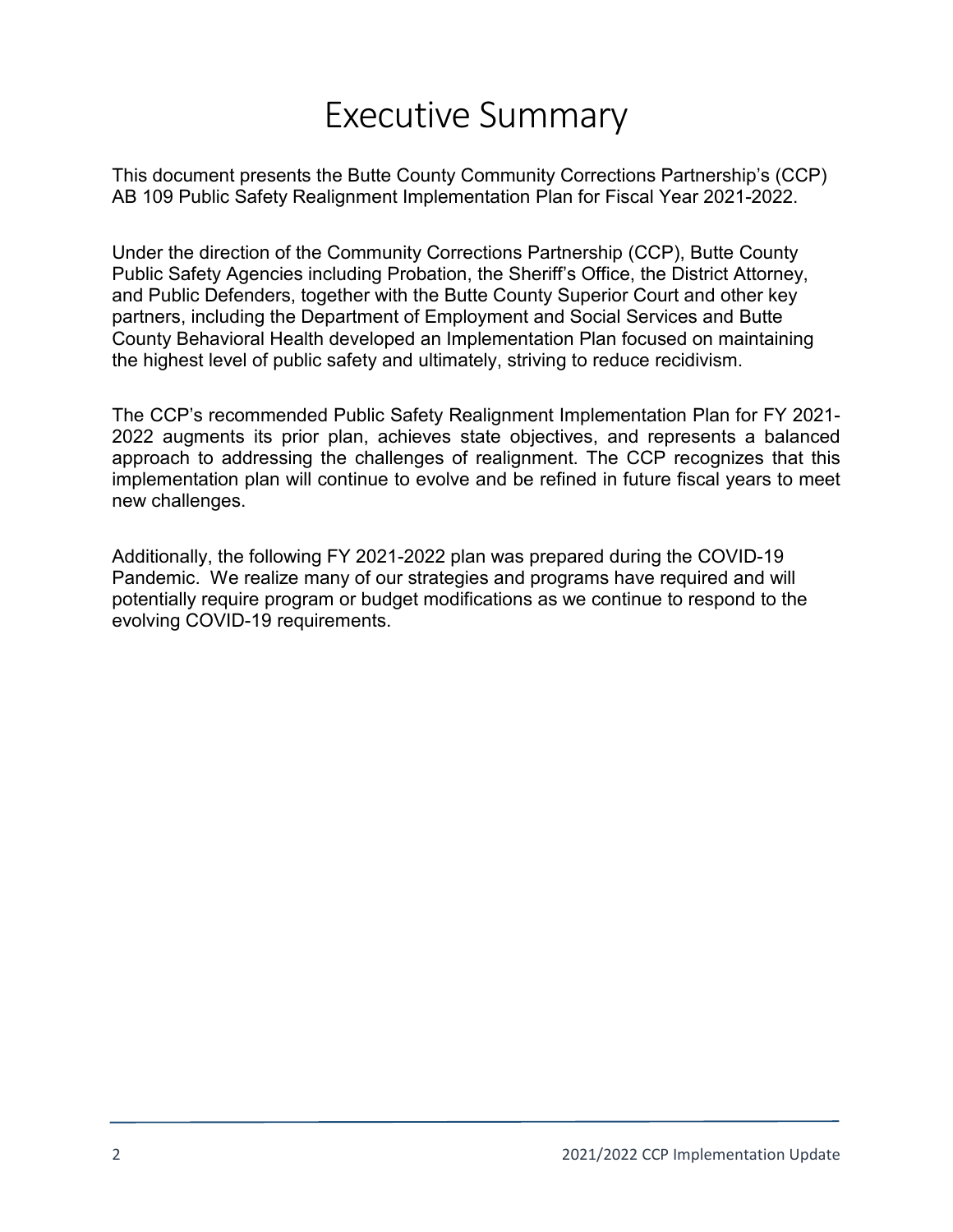# Executive Summary

This document presents the Butte County Community Corrections Partnership's (CCP) AB 109 Public Safety Realignment Implementation Plan for Fiscal Year 2021-2022.

Under the direction of the Community Corrections Partnership (CCP), Butte County Public Safety Agencies including Probation, the Sheriff's Office, the District Attorney, and Public Defenders, together with the Butte County Superior Court and other key partners, including the Department of Employment and Social Services and Butte County Behavioral Health developed an Implementation Plan focused on maintaining the highest level of public safety and ultimately, striving to reduce recidivism.

The CCP's recommended Public Safety Realignment Implementation Plan for FY 2021- 2022 augments its prior plan, achieves state objectives, and represents a balanced approach to addressing the challenges of realignment. The CCP recognizes that this implementation plan will continue to evolve and be refined in future fiscal years to meet new challenges.

Additionally, the following FY 2021-2022 plan was prepared during the COVID-19 Pandemic. We realize many of our strategies and programs have required and will potentially require program or budget modifications as we continue to respond to the evolving COVID-19 requirements.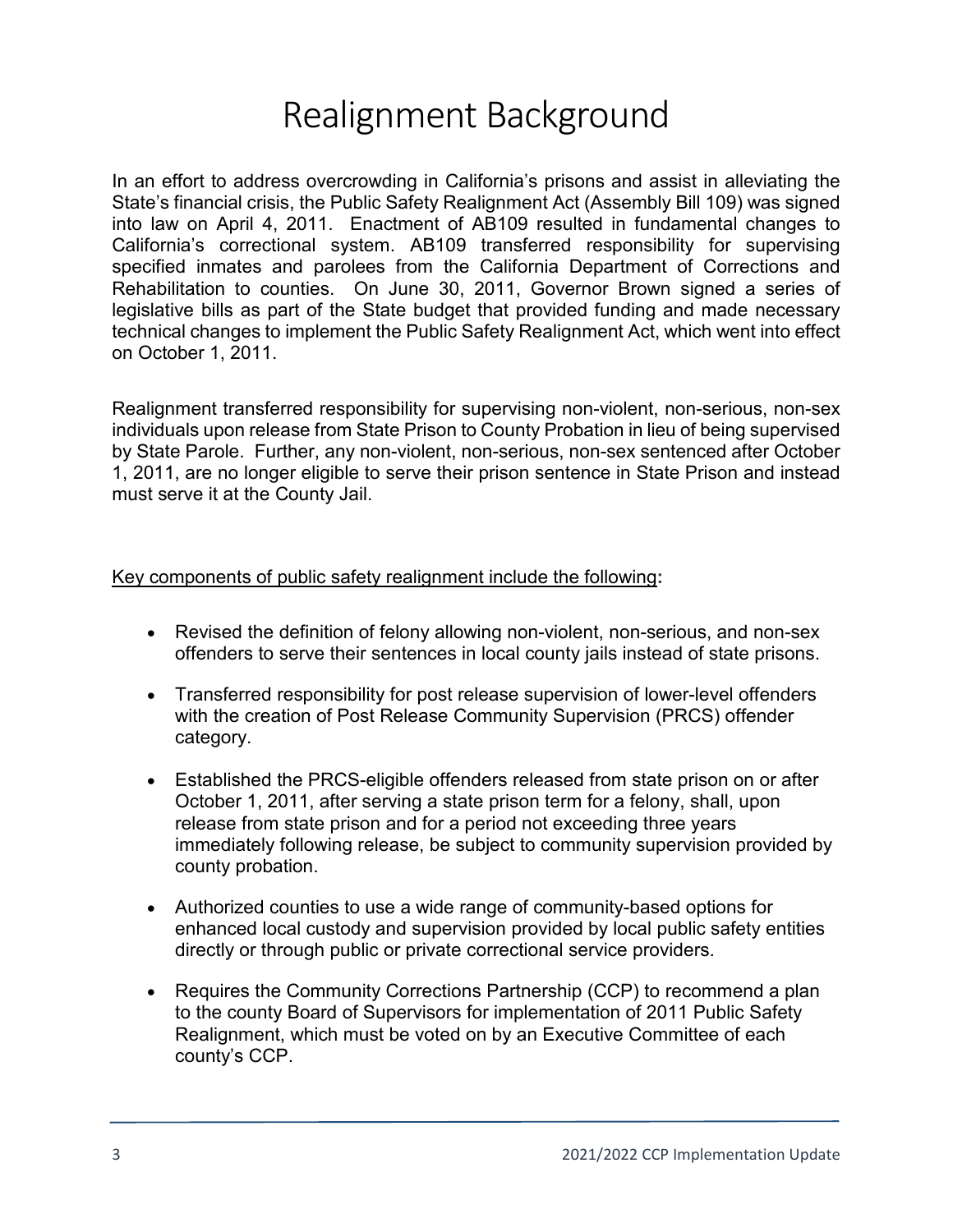# Realignment Background

In an effort to address overcrowding in California's prisons and assist in alleviating the State's financial crisis, the Public Safety Realignment Act (Assembly Bill 109) was signed into law on April 4, 2011. Enactment of AB109 resulted in fundamental changes to California's correctional system. AB109 transferred responsibility for supervising specified inmates and parolees from the California Department of Corrections and Rehabilitation to counties. On June 30, 2011, Governor Brown signed a series of legislative bills as part of the State budget that provided funding and made necessary technical changes to implement the Public Safety Realignment Act, which went into effect on October 1, 2011.

Realignment transferred responsibility for supervising non-violent, non-serious, non-sex individuals upon release from State Prison to County Probation in lieu of being supervised by State Parole. Further, any non-violent, non-serious, non-sex sentenced after October 1, 2011, are no longer eligible to serve their prison sentence in State Prison and instead must serve it at the County Jail.

#### Key components of public safety realignment include the following**:**

- Revised the definition of felony allowing non-violent, non-serious, and non-sex offenders to serve their sentences in local county jails instead of state prisons.
- Transferred responsibility for post release supervision of lower-level offenders with the creation of Post Release Community Supervision (PRCS) offender category.
- Established the PRCS-eligible offenders released from state prison on or after October 1, 2011, after serving a state prison term for a felony, shall, upon release from state prison and for a period not exceeding three years immediately following release, be subject to community supervision provided by county probation.
- Authorized counties to use a wide range of community-based options for enhanced local custody and supervision provided by local public safety entities directly or through public or private correctional service providers.
- Requires the Community Corrections Partnership (CCP) to recommend a plan to the county Board of Supervisors for implementation of 2011 Public Safety Realignment, which must be voted on by an Executive Committee of each county's CCP.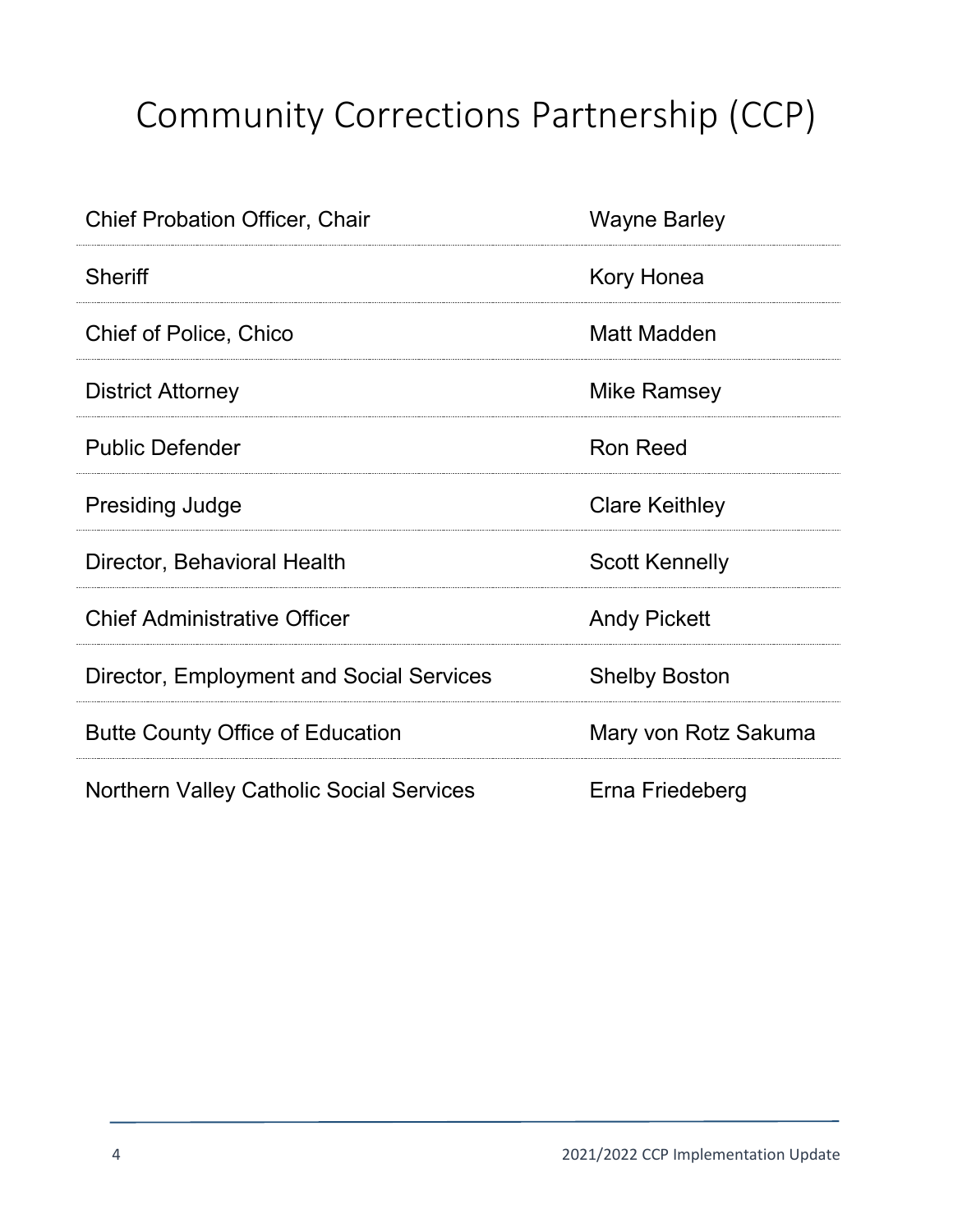# Community Corrections Partnership (CCP)

| <b>Chief Probation Officer, Chair</b>           | <b>Wayne Barley</b>   |
|-------------------------------------------------|-----------------------|
| <b>Sheriff</b>                                  | Kory Honea            |
| <b>Chief of Police, Chico</b>                   | Matt Madden           |
| <b>District Attorney</b>                        | Mike Ramsey           |
| <b>Public Defender</b>                          | <b>Ron Reed</b>       |
| <b>Presiding Judge</b>                          | <b>Clare Keithley</b> |
| Director, Behavioral Health                     | <b>Scott Kennelly</b> |
| <b>Chief Administrative Officer</b>             | <b>Andy Pickett</b>   |
| Director, Employment and Social Services        | <b>Shelby Boston</b>  |
| <b>Butte County Office of Education</b>         | Mary von Rotz Sakuma  |
| <b>Northern Valley Catholic Social Services</b> | Erna Friedeberg       |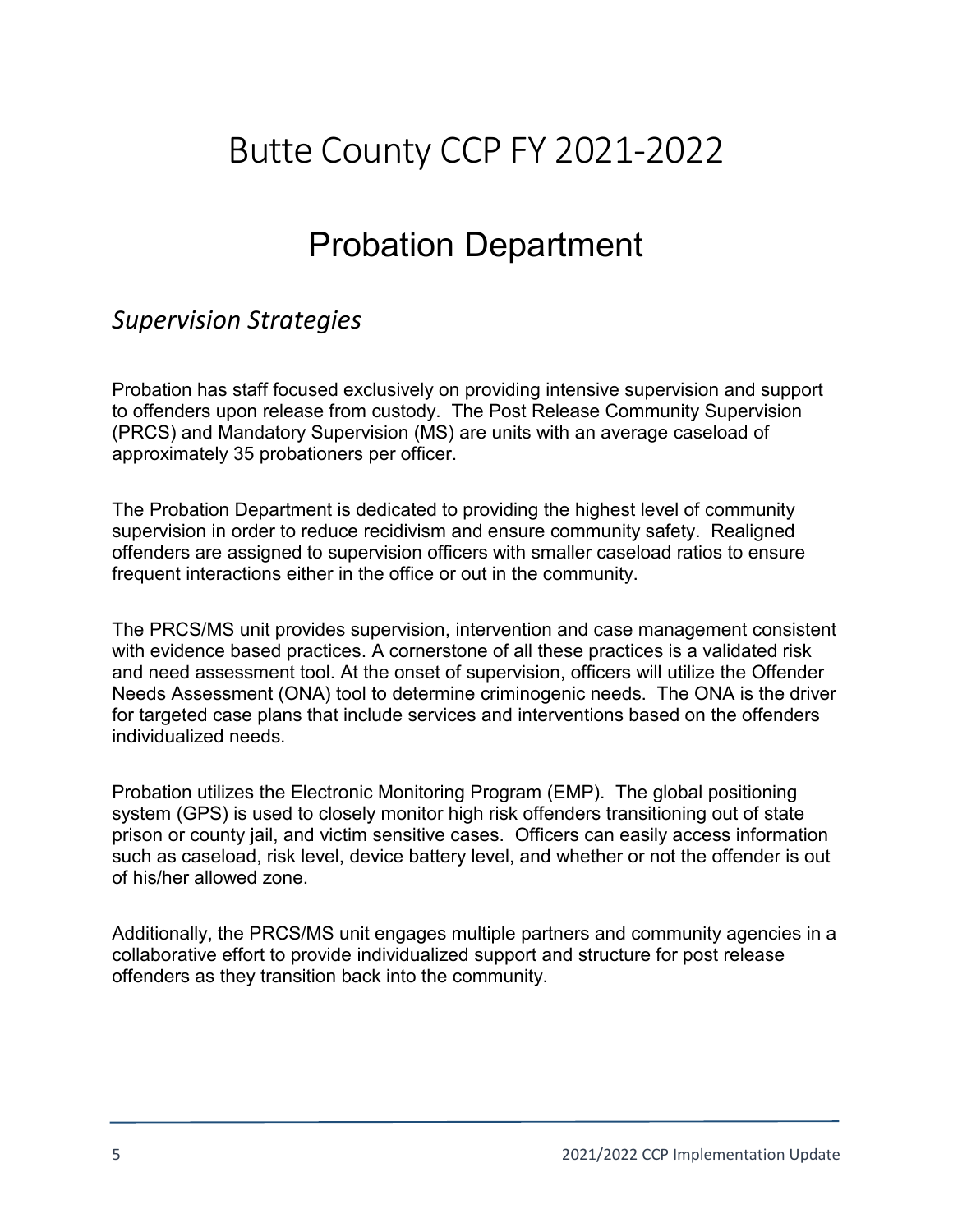# Butte County CCP FY 2021-2022

## Probation Department

### *Supervision Strategies*

Probation has staff focused exclusively on providing intensive supervision and support to offenders upon release from custody. The Post Release Community Supervision (PRCS) and Mandatory Supervision (MS) are units with an average caseload of approximately 35 probationers per officer.

The Probation Department is dedicated to providing the highest level of community supervision in order to reduce recidivism and ensure community safety. Realigned offenders are assigned to supervision officers with smaller caseload ratios to ensure frequent interactions either in the office or out in the community.

The PRCS/MS unit provides supervision, intervention and case management consistent with evidence based practices. A cornerstone of all these practices is a validated risk and need assessment tool. At the onset of supervision, officers will utilize the Offender Needs Assessment (ONA) tool to determine criminogenic needs. The ONA is the driver for targeted case plans that include services and interventions based on the offenders individualized needs.

Probation utilizes the Electronic Monitoring Program (EMP). The global positioning system (GPS) is used to closely monitor high risk offenders transitioning out of state prison or county jail, and victim sensitive cases. Officers can easily access information such as caseload, risk level, device battery level, and whether or not the offender is out of his/her allowed zone.

Additionally, the PRCS/MS unit engages multiple partners and community agencies in a collaborative effort to provide individualized support and structure for post release offenders as they transition back into the community.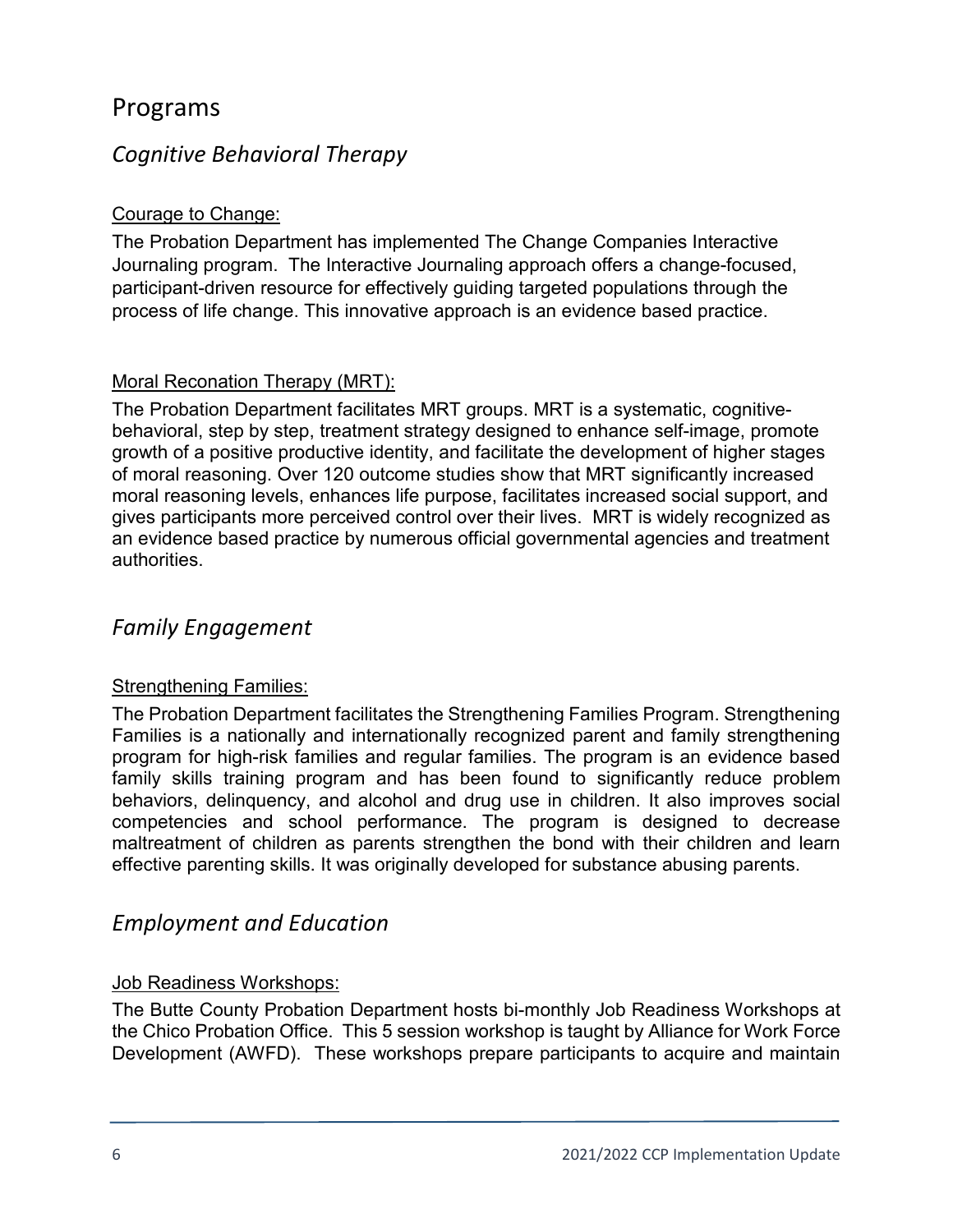### Programs

### *Cognitive Behavioral Therapy*

#### Courage to Change:

The Probation Department has implemented The Change Companies Interactive Journaling program. The Interactive Journaling approach offers a change-focused, participant-driven resource for effectively guiding targeted populations through the process of life change. This innovative approach is an evidence based practice.

#### Moral Reconation Therapy (MRT):

The Probation Department facilitates MRT groups. MRT is a systematic, cognitivebehavioral, step by step, treatment strategy designed to enhance self-image, promote growth of a positive productive identity, and facilitate the development of higher stages of moral reasoning. Over 120 outcome studies show that MRT significantly increased moral reasoning levels, enhances life purpose, facilitates increased social support, and gives participants more perceived control over their lives. MRT is widely recognized as an evidence based practice by numerous official governmental agencies and treatment authorities.

### *Family Engagement*

#### Strengthening Families:

The Probation Department facilitates the Strengthening Families Program. Strengthening Families is a nationally and internationally recognized parent and family strengthening program for high-risk families and regular families. The program is an evidence based family skills training program and has been found to significantly reduce problem behaviors, delinquency, and alcohol and drug use in children. It also improves social competencies and school performance. The program is designed to decrease maltreatment of children as parents strengthen the bond with their children and learn effective parenting skills. It was originally developed for substance abusing parents.

### *Employment and Education*

#### Job Readiness Workshops:

The Butte County Probation Department hosts bi-monthly Job Readiness Workshops at the Chico Probation Office. This 5 session workshop is taught by Alliance for Work Force Development (AWFD). These workshops prepare participants to acquire and maintain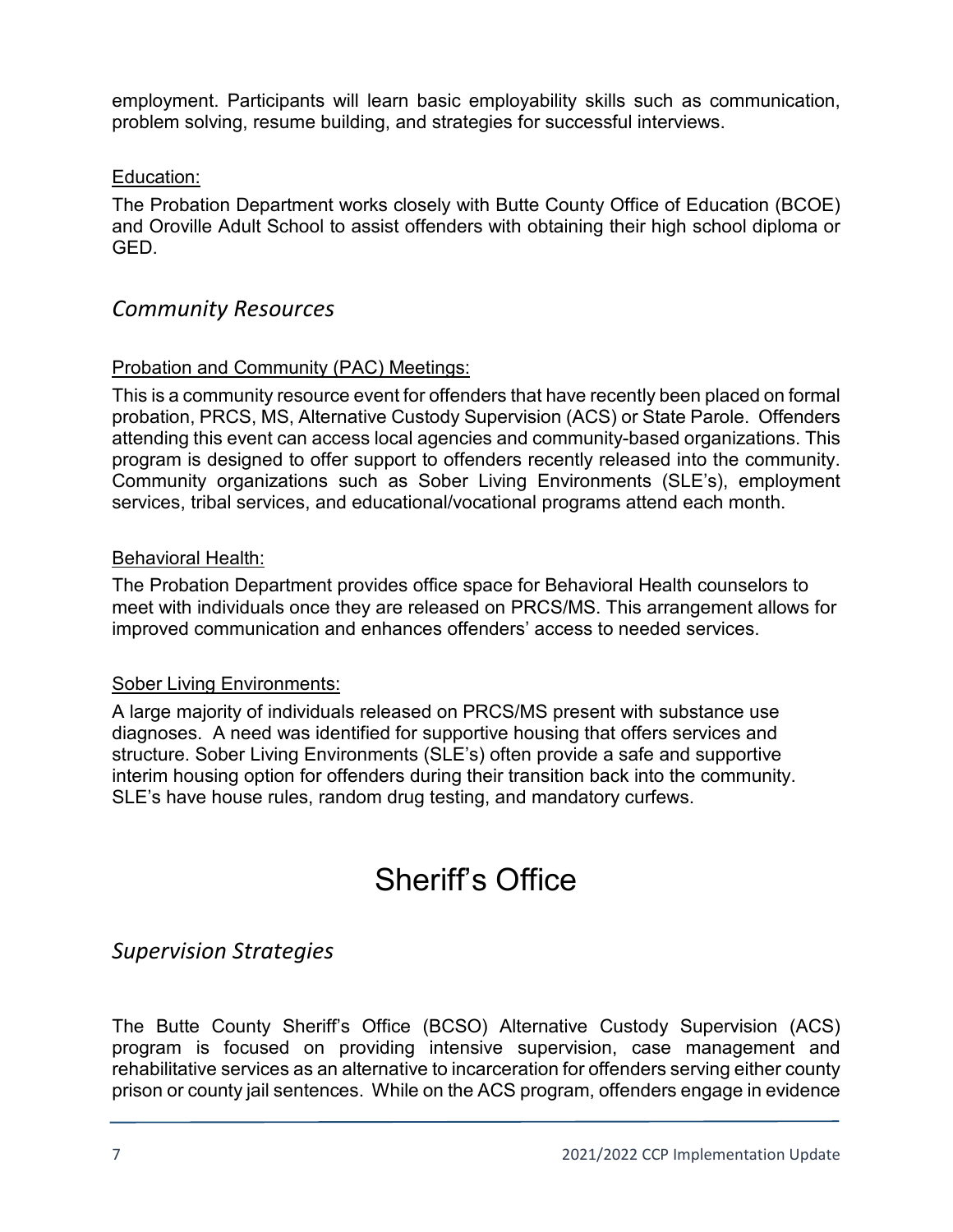employment. Participants will learn basic employability skills such as communication, problem solving, resume building, and strategies for successful interviews.

#### Education:

The Probation Department works closely with Butte County Office of Education (BCOE) and Oroville Adult School to assist offenders with obtaining their high school diploma or GED.

### *Community Resources*

#### Probation and Community (PAC) Meetings:

This is a community resource event for offenders that have recently been placed on formal probation, PRCS, MS, Alternative Custody Supervision (ACS) or State Parole. Offenders attending this event can access local agencies and community-based organizations. This program is designed to offer support to offenders recently released into the community. Community organizations such as Sober Living Environments (SLE's), employment services, tribal services, and educational/vocational programs attend each month.

#### Behavioral Health:

The Probation Department provides office space for Behavioral Health counselors to meet with individuals once they are released on PRCS/MS. This arrangement allows for improved communication and enhances offenders' access to needed services.

#### Sober Living Environments:

A large majority of individuals released on PRCS/MS present with substance use diagnoses. A need was identified for supportive housing that offers services and structure. Sober Living Environments (SLE's) often provide a safe and supportive interim housing option for offenders during their transition back into the community. SLE's have house rules, random drug testing, and mandatory curfews.

### Sheriff's Office

### *Supervision Strategies*

The Butte County Sheriff's Office (BCSO) Alternative Custody Supervision (ACS) program is focused on providing intensive supervision, case management and rehabilitative services as an alternative to incarceration for offenders serving either county prison or county jail sentences. While on the ACS program, offenders engage in evidence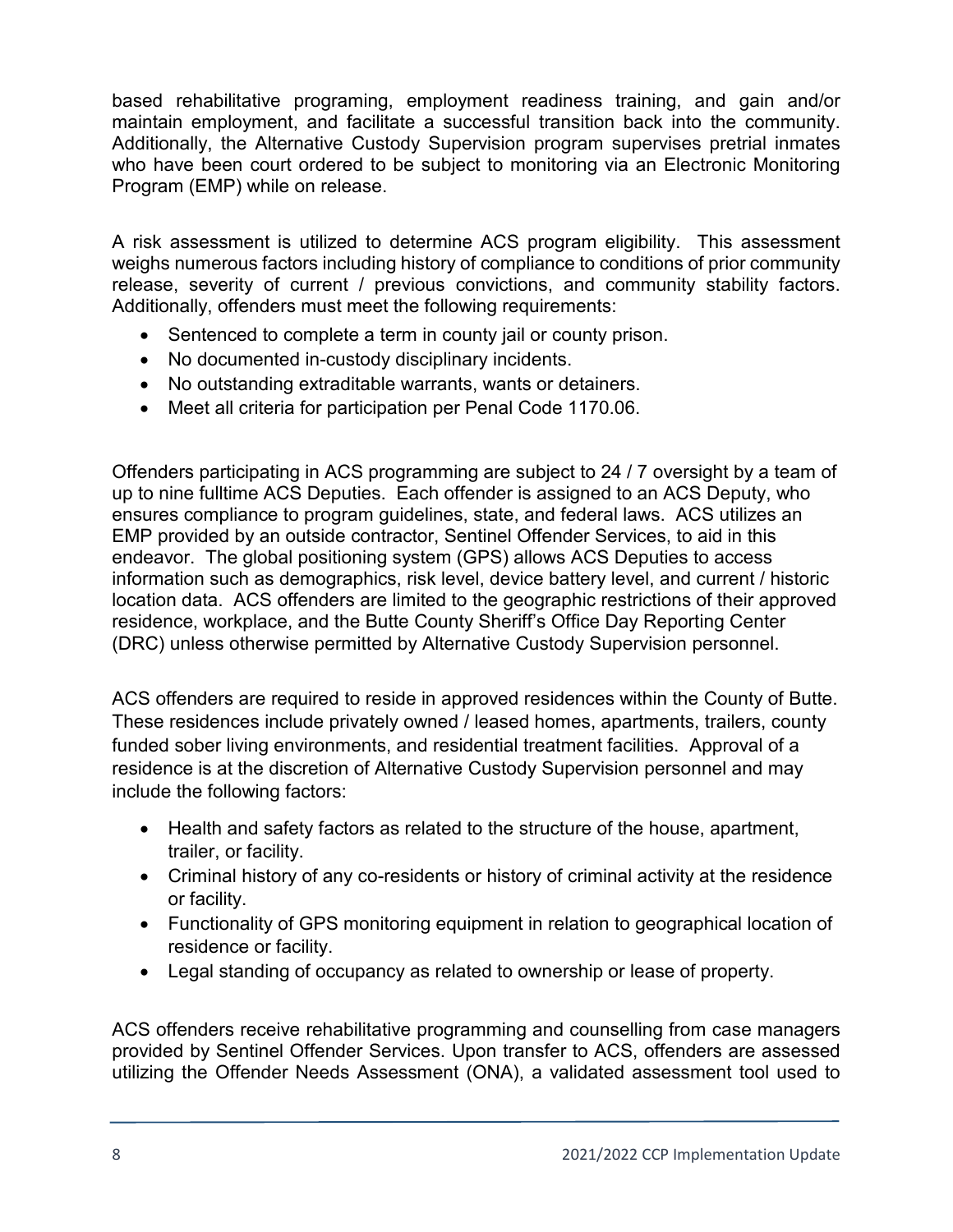based rehabilitative programing, employment readiness training, and gain and/or maintain employment, and facilitate a successful transition back into the community. Additionally, the Alternative Custody Supervision program supervises pretrial inmates who have been court ordered to be subject to monitoring via an Electronic Monitoring Program (EMP) while on release.

A risk assessment is utilized to determine ACS program eligibility. This assessment weighs numerous factors including history of compliance to conditions of prior community release, severity of current / previous convictions, and community stability factors. Additionally, offenders must meet the following requirements:

- Sentenced to complete a term in county jail or county prison.
- No documented in-custody disciplinary incidents.
- No outstanding extraditable warrants, wants or detainers.
- Meet all criteria for participation per Penal Code 1170.06.

Offenders participating in ACS programming are subject to 24 / 7 oversight by a team of up to nine fulltime ACS Deputies. Each offender is assigned to an ACS Deputy, who ensures compliance to program guidelines, state, and federal laws. ACS utilizes an EMP provided by an outside contractor, Sentinel Offender Services, to aid in this endeavor. The global positioning system (GPS) allows ACS Deputies to access information such as demographics, risk level, device battery level, and current / historic location data. ACS offenders are limited to the geographic restrictions of their approved residence, workplace, and the Butte County Sheriff's Office Day Reporting Center (DRC) unless otherwise permitted by Alternative Custody Supervision personnel.

ACS offenders are required to reside in approved residences within the County of Butte. These residences include privately owned / leased homes, apartments, trailers, county funded sober living environments, and residential treatment facilities. Approval of a residence is at the discretion of Alternative Custody Supervision personnel and may include the following factors:

- Health and safety factors as related to the structure of the house, apartment, trailer, or facility.
- Criminal history of any co-residents or history of criminal activity at the residence or facility.
- Functionality of GPS monitoring equipment in relation to geographical location of residence or facility.
- Legal standing of occupancy as related to ownership or lease of property.

ACS offenders receive rehabilitative programming and counselling from case managers provided by Sentinel Offender Services. Upon transfer to ACS, offenders are assessed utilizing the Offender Needs Assessment (ONA), a validated assessment tool used to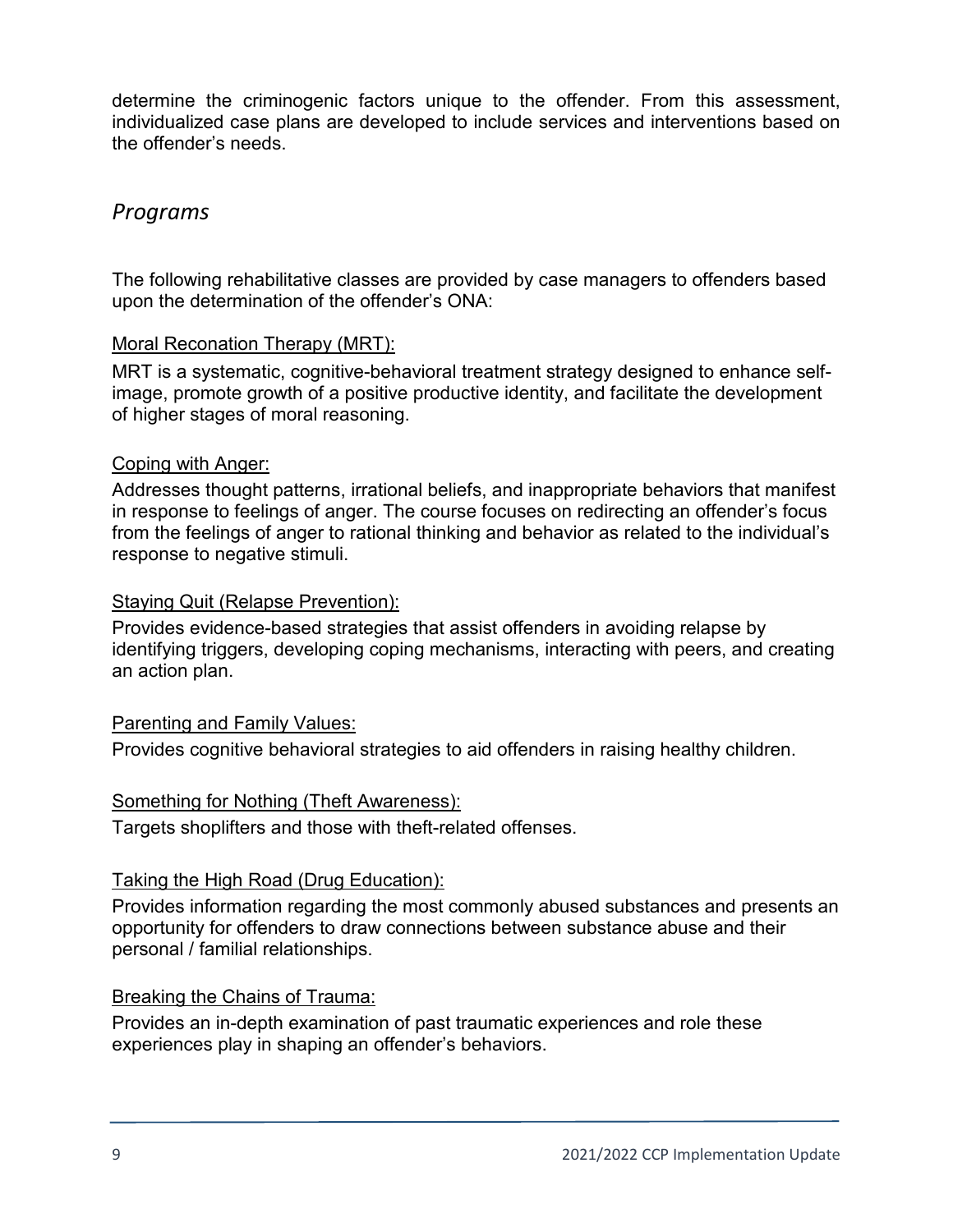determine the criminogenic factors unique to the offender. From this assessment, individualized case plans are developed to include services and interventions based on the offender's needs.

### *Programs*

The following rehabilitative classes are provided by case managers to offenders based upon the determination of the offender's ONA:

#### Moral Reconation Therapy (MRT):

MRT is a systematic, cognitive-behavioral treatment strategy designed to enhance selfimage, promote growth of a positive productive identity, and facilitate the development of higher stages of moral reasoning.

#### Coping with Anger:

Addresses thought patterns, irrational beliefs, and inappropriate behaviors that manifest in response to feelings of anger. The course focuses on redirecting an offender's focus from the feelings of anger to rational thinking and behavior as related to the individual's response to negative stimuli.

#### Staying Quit (Relapse Prevention):

Provides evidence-based strategies that assist offenders in avoiding relapse by identifying triggers, developing coping mechanisms, interacting with peers, and creating an action plan.

#### Parenting and Family Values:

Provides cognitive behavioral strategies to aid offenders in raising healthy children.

#### Something for Nothing (Theft Awareness):

Targets shoplifters and those with theft-related offenses.

#### Taking the High Road (Drug Education):

Provides information regarding the most commonly abused substances and presents an opportunity for offenders to draw connections between substance abuse and their personal / familial relationships.

#### Breaking the Chains of Trauma:

Provides an in-depth examination of past traumatic experiences and role these experiences play in shaping an offender's behaviors.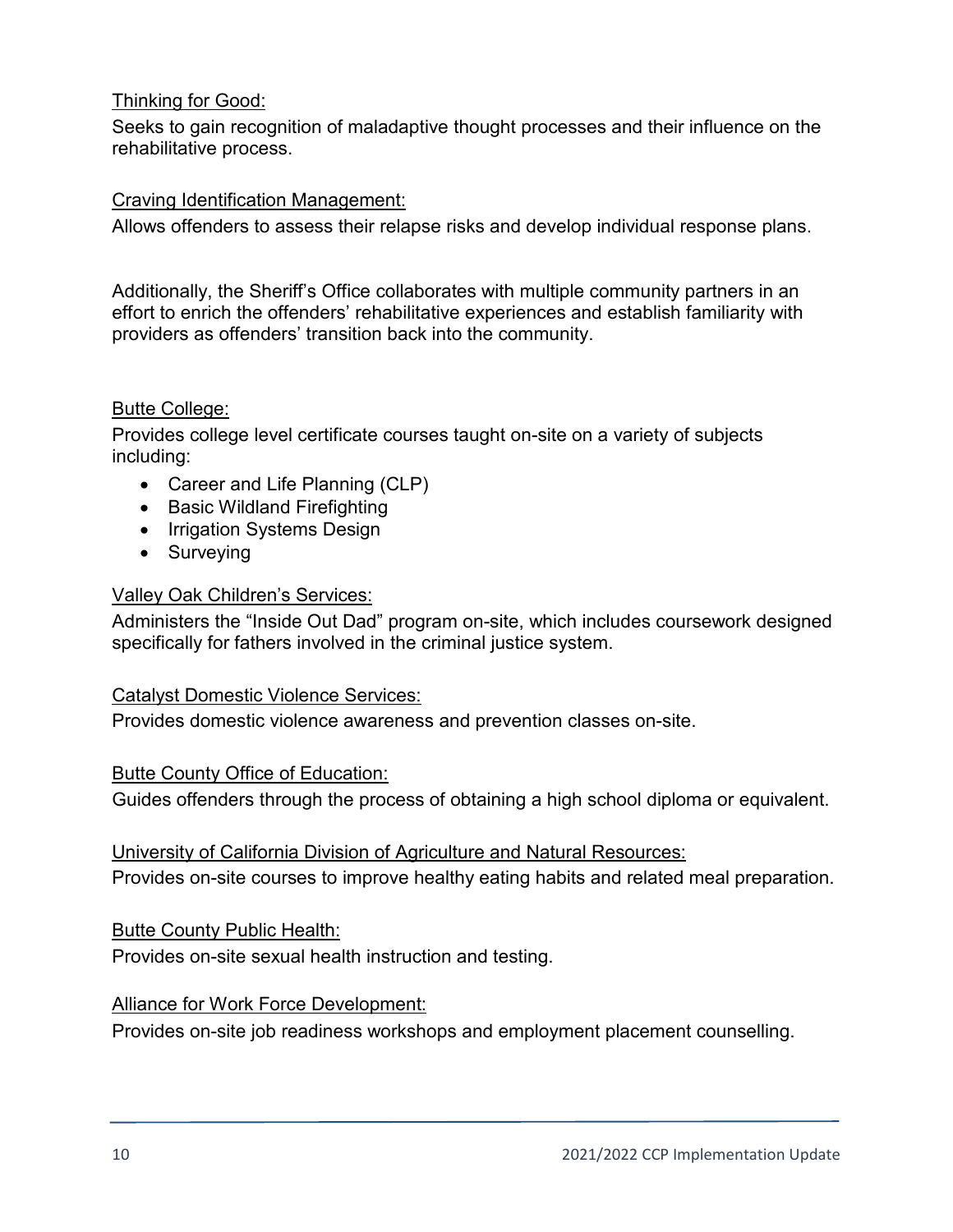#### Thinking for Good:

Seeks to gain recognition of maladaptive thought processes and their influence on the rehabilitative process.

#### Craving Identification Management:

Allows offenders to assess their relapse risks and develop individual response plans.

Additionally, the Sheriff's Office collaborates with multiple community partners in an effort to enrich the offenders' rehabilitative experiences and establish familiarity with providers as offenders' transition back into the community.

#### Butte College:

Provides college level certificate courses taught on-site on a variety of subjects including:

- Career and Life Planning (CLP)
- Basic Wildland Firefighting
- Irrigation Systems Design
- Surveying

#### Valley Oak Children's Services:

Administers the "Inside Out Dad" program on-site, which includes coursework designed specifically for fathers involved in the criminal justice system.

#### Catalyst Domestic Violence Services:

Provides domestic violence awareness and prevention classes on-site.

#### Butte County Office of Education:

Guides offenders through the process of obtaining a high school diploma or equivalent.

#### University of California Division of Agriculture and Natural Resources:

Provides on-site courses to improve healthy eating habits and related meal preparation.

#### Butte County Public Health:

Provides on-site sexual health instruction and testing.

#### Alliance for Work Force Development:

Provides on-site job readiness workshops and employment placement counselling.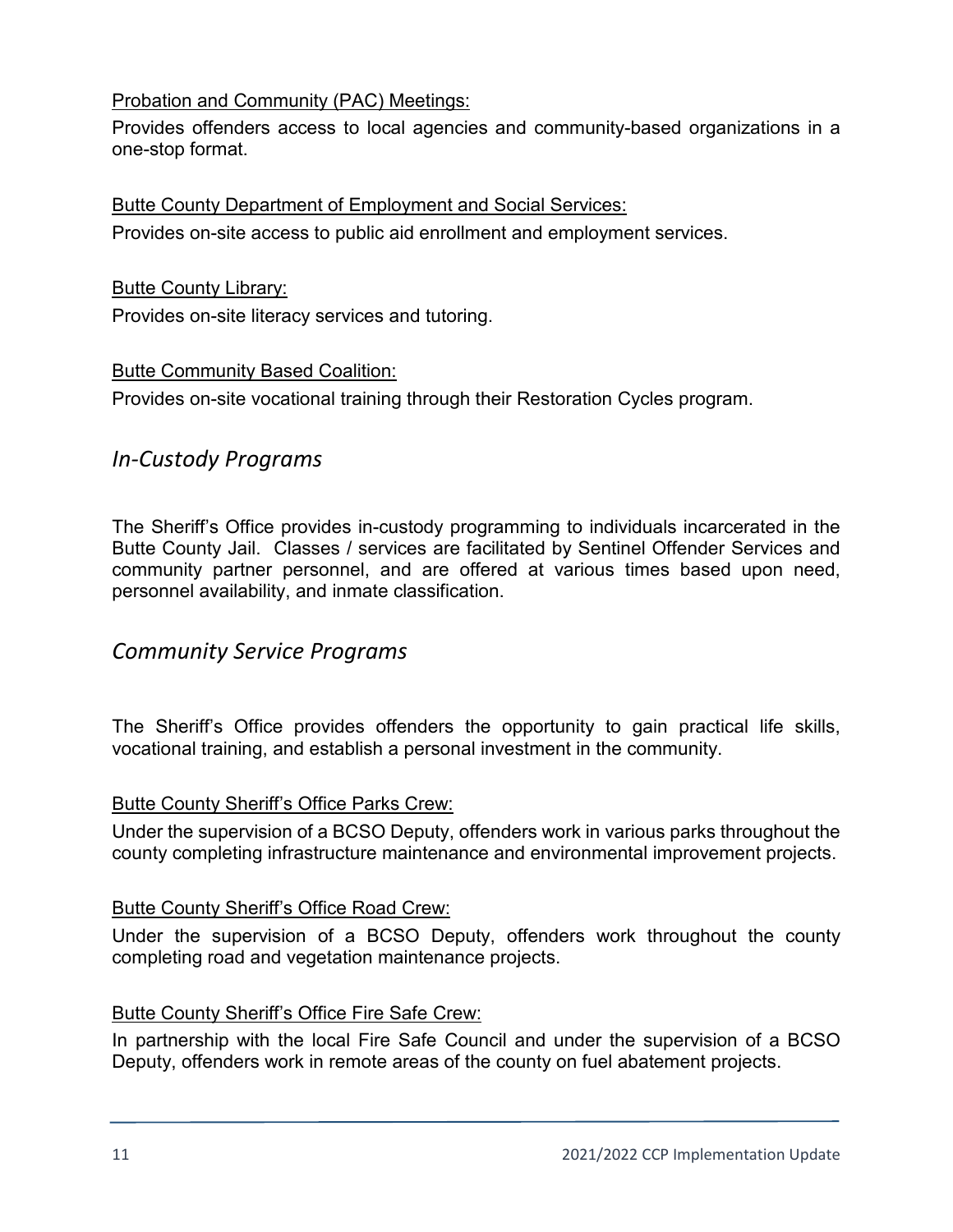#### Probation and Community (PAC) Meetings:

Provides offenders access to local agencies and community-based organizations in a one-stop format.

#### Butte County Department of Employment and Social Services:

Provides on-site access to public aid enrollment and employment services.

#### Butte County Library:

Provides on-site literacy services and tutoring.

#### Butte Community Based Coalition:

Provides on-site vocational training through their Restoration Cycles program.

### *In-Custody Programs*

The Sheriff's Office provides in-custody programming to individuals incarcerated in the Butte County Jail. Classes / services are facilitated by Sentinel Offender Services and community partner personnel, and are offered at various times based upon need, personnel availability, and inmate classification.

#### *Community Service Programs*

The Sheriff's Office provides offenders the opportunity to gain practical life skills, vocational training, and establish a personal investment in the community.

#### Butte County Sheriff's Office Parks Crew:

Under the supervision of a BCSO Deputy, offenders work in various parks throughout the county completing infrastructure maintenance and environmental improvement projects.

#### Butte County Sheriff's Office Road Crew:

Under the supervision of a BCSO Deputy, offenders work throughout the county completing road and vegetation maintenance projects.

#### Butte County Sheriff's Office Fire Safe Crew:

In partnership with the local Fire Safe Council and under the supervision of a BCSO Deputy, offenders work in remote areas of the county on fuel abatement projects.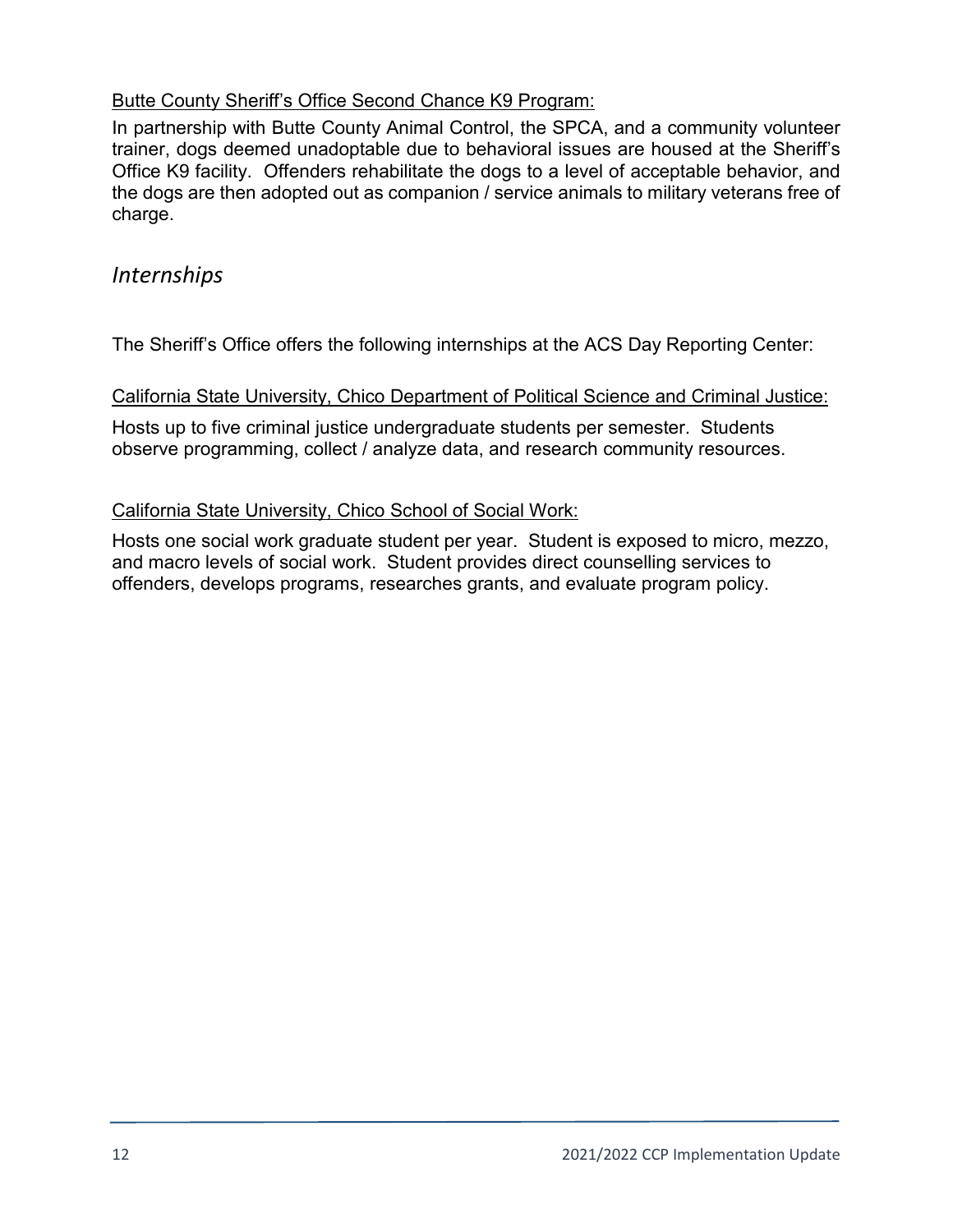#### Butte County Sheriff's Office Second Chance K9 Program:

In partnership with Butte County Animal Control, the SPCA, and a community volunteer trainer, dogs deemed unadoptable due to behavioral issues are housed at the Sheriff's Office K9 facility. Offenders rehabilitate the dogs to a level of acceptable behavior, and the dogs are then adopted out as companion / service animals to military veterans free of charge.

### *Internships*

The Sheriff's Office offers the following internships at the ACS Day Reporting Center:

#### California State University, Chico Department of Political Science and Criminal Justice:

Hosts up to five criminal justice undergraduate students per semester. Students observe programming, collect / analyze data, and research community resources.

#### California State University, Chico School of Social Work:

Hosts one social work graduate student per year. Student is exposed to micro, mezzo, and macro levels of social work. Student provides direct counselling services to offenders, develops programs, researches grants, and evaluate program policy.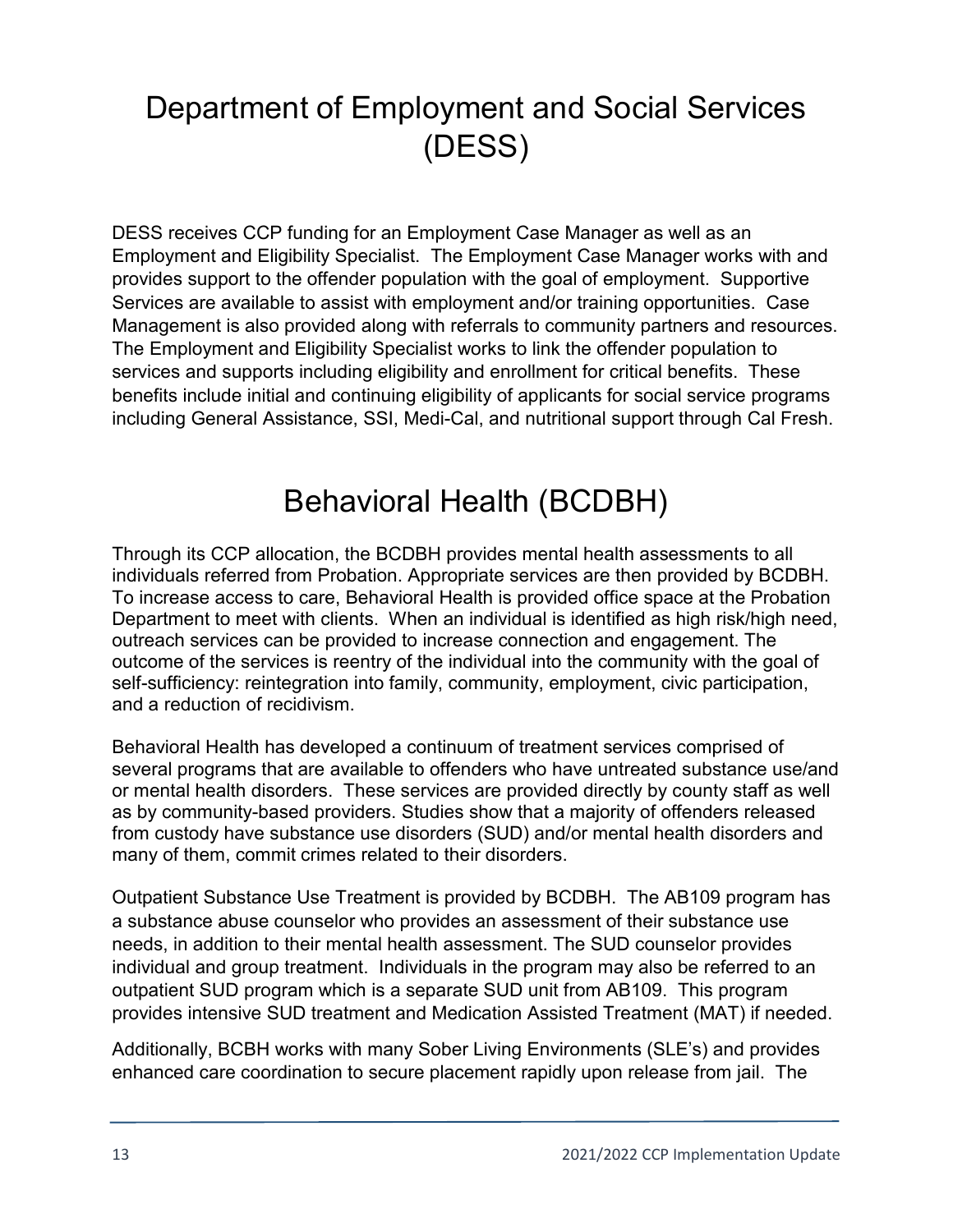# Department of Employment and Social Services (DESS)

DESS receives CCP funding for an Employment Case Manager as well as an Employment and Eligibility Specialist. The Employment Case Manager works with and provides support to the offender population with the goal of employment. Supportive Services are available to assist with employment and/or training opportunities. Case Management is also provided along with referrals to community partners and resources. The Employment and Eligibility Specialist works to link the offender population to services and supports including eligibility and enrollment for critical benefits. These benefits include initial and continuing eligibility of applicants for social service programs including General Assistance, SSI, Medi-Cal, and nutritional support through Cal Fresh.

### Behavioral Health (BCDBH)

Through its CCP allocation, the BCDBH provides mental health assessments to all individuals referred from Probation. Appropriate services are then provided by BCDBH. To increase access to care, Behavioral Health is provided office space at the Probation Department to meet with clients. When an individual is identified as high risk/high need, outreach services can be provided to increase connection and engagement. The outcome of the services is reentry of the individual into the community with the goal of self-sufficiency: reintegration into family, community, employment, civic participation, and a reduction of recidivism.

Behavioral Health has developed a continuum of treatment services comprised of several programs that are available to offenders who have untreated substance use/and or mental health disorders. These services are provided directly by county staff as well as by community-based providers. Studies show that a majority of offenders released from custody have substance use disorders (SUD) and/or mental health disorders and many of them, commit crimes related to their disorders.

Outpatient Substance Use Treatment is provided by BCDBH. The AB109 program has a substance abuse counselor who provides an assessment of their substance use needs, in addition to their mental health assessment. The SUD counselor provides individual and group treatment. Individuals in the program may also be referred to an outpatient SUD program which is a separate SUD unit from AB109. This program provides intensive SUD treatment and Medication Assisted Treatment (MAT) if needed.

Additionally, BCBH works with many Sober Living Environments (SLE's) and provides enhanced care coordination to secure placement rapidly upon release from jail. The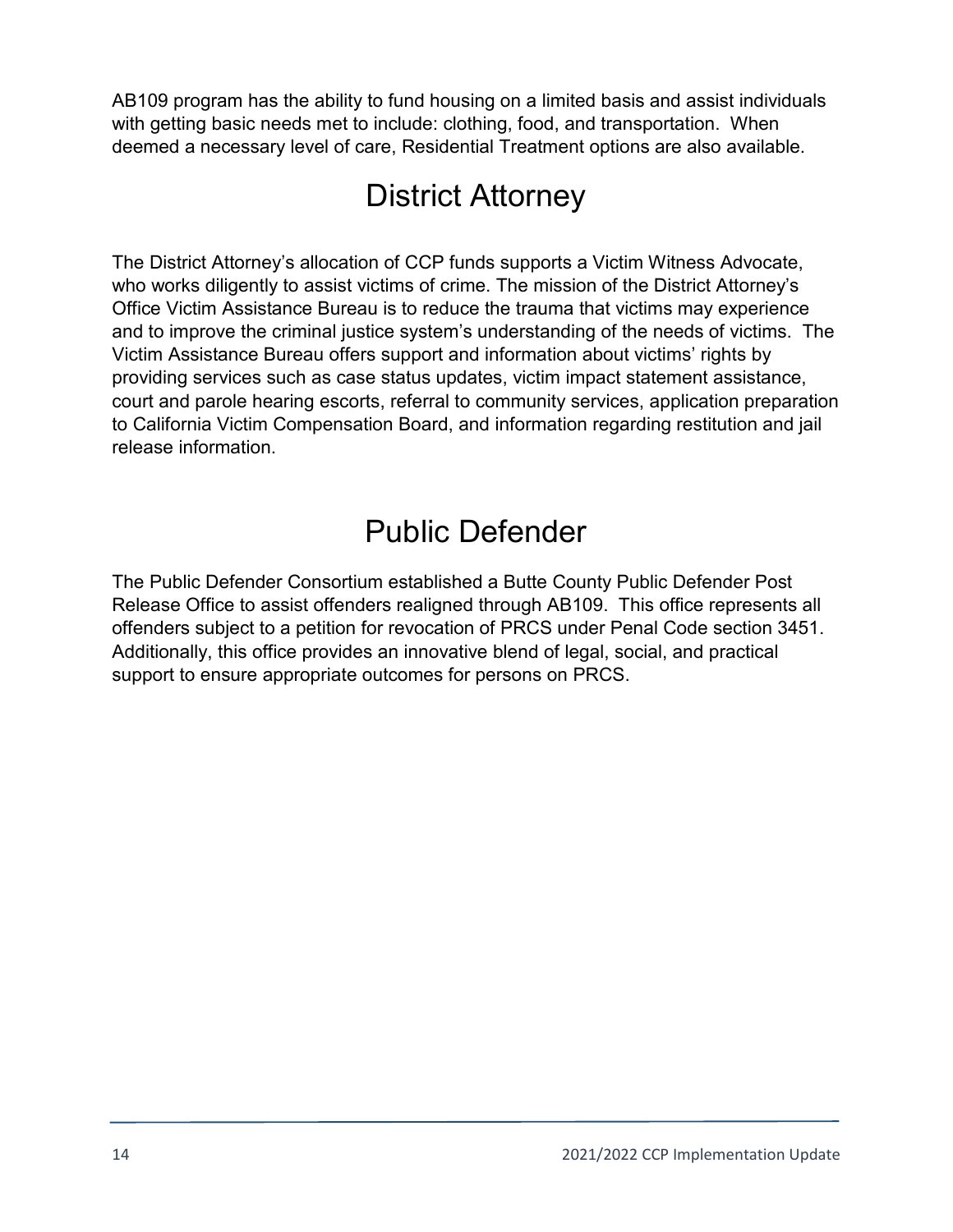AB109 program has the ability to fund housing on a limited basis and assist individuals with getting basic needs met to include: clothing, food, and transportation. When deemed a necessary level of care, Residential Treatment options are also available.

### District Attorney

The District Attorney's allocation of CCP funds supports a Victim Witness Advocate, who works diligently to assist victims of crime. The mission of the District Attorney's Office Victim Assistance Bureau is to reduce the trauma that victims may experience and to improve the criminal justice system's understanding of the needs of victims. The Victim Assistance Bureau offers support and information about victims' rights by providing services such as case status updates, victim impact statement assistance, court and parole hearing escorts, referral to community services, application preparation to California Victim Compensation Board, and information regarding restitution and jail release information.

### Public Defender

The Public Defender Consortium established a Butte County Public Defender Post Release Office to assist offenders realigned through AB109. This office represents all offenders subject to a petition for revocation of PRCS under Penal Code section 3451. Additionally, this office provides an innovative blend of legal, social, and practical support to ensure appropriate outcomes for persons on PRCS.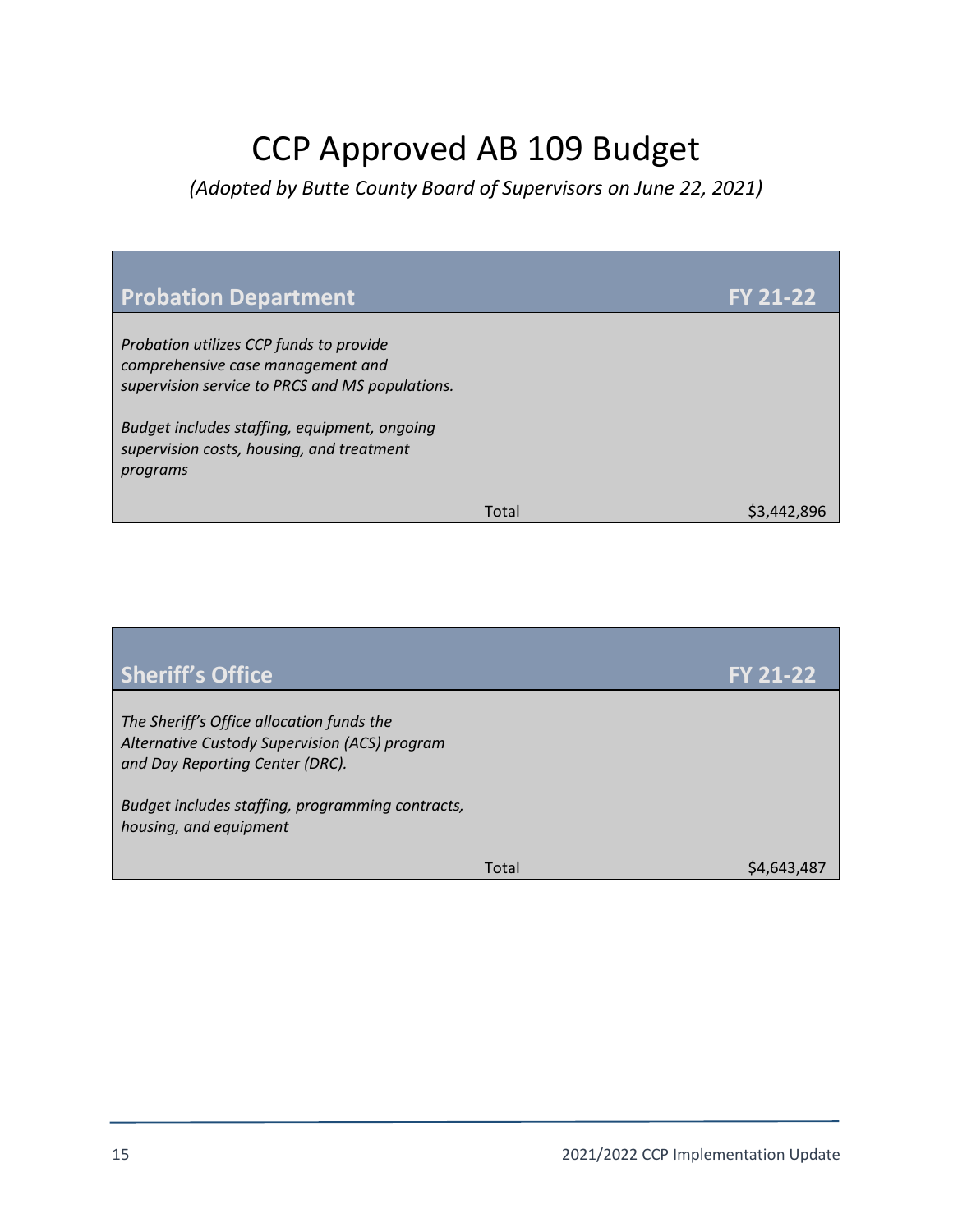# CCP Approved AB 109 Budget

*(Adopted by Butte County Board of Supervisors on June 22, 2021)*

| <b>Probation Department</b>                                                                                                                                                                                                              |       | <b>FY 21-22</b> |
|------------------------------------------------------------------------------------------------------------------------------------------------------------------------------------------------------------------------------------------|-------|-----------------|
| Probation utilizes CCP funds to provide<br>comprehensive case management and<br>supervision service to PRCS and MS populations.<br>Budget includes staffing, equipment, ongoing<br>supervision costs, housing, and treatment<br>programs |       |                 |
|                                                                                                                                                                                                                                          | Total | S3.442.896      |

| <b>Sheriff's Office</b>                                                                                                                                                           |       | <b>FY 21-22</b> |
|-----------------------------------------------------------------------------------------------------------------------------------------------------------------------------------|-------|-----------------|
| The Sheriff's Office allocation funds the<br>Alternative Custody Supervision (ACS) program<br>and Day Reporting Center (DRC).<br>Budget includes staffing, programming contracts, |       |                 |
| housing, and equipment                                                                                                                                                            | Total | S4.643.487      |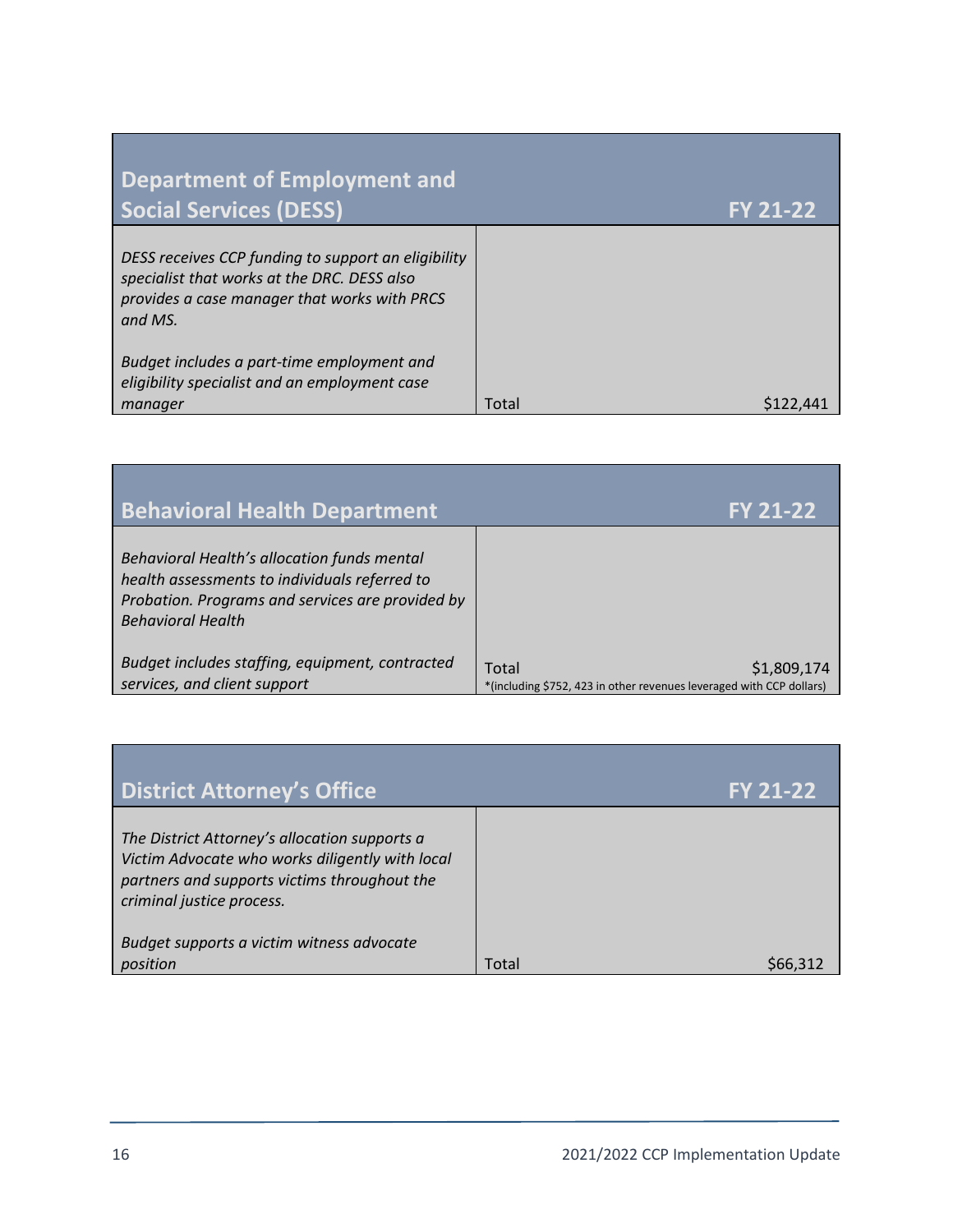| Department of Employment and<br><b>Social Services (DESS)</b>                                                                                                 |       | <b>FY 21-22</b> |
|---------------------------------------------------------------------------------------------------------------------------------------------------------------|-------|-----------------|
| DESS receives CCP funding to support an eligibility<br>specialist that works at the DRC. DESS also<br>provides a case manager that works with PRCS<br>and MS. |       |                 |
| Budget includes a part-time employment and<br>eligibility specialist and an employment case<br>manager                                                        | Total |                 |

| <b>Behavioral Health Department</b>                                                                                                                                          | <b>FY 21-22</b>                                                                              |
|------------------------------------------------------------------------------------------------------------------------------------------------------------------------------|----------------------------------------------------------------------------------------------|
| Behavioral Health's allocation funds mental<br>health assessments to individuals referred to<br>Probation. Programs and services are provided by<br><b>Behavioral Health</b> |                                                                                              |
| Budget includes staffing, equipment, contracted<br>services, and client support                                                                                              | Total<br>\$1,809,174<br>*(including \$752, 423 in other revenues leveraged with CCP dollars) |

| <b>District Attorney's Office</b>                                                                                                                                             |       | <b>FY 21-22</b> |
|-------------------------------------------------------------------------------------------------------------------------------------------------------------------------------|-------|-----------------|
| The District Attorney's allocation supports a<br>Victim Advocate who works diligently with local<br>partners and supports victims throughout the<br>criminal justice process. |       |                 |
| Budget supports a victim witness advocate<br>position                                                                                                                         | Total | S66,31          |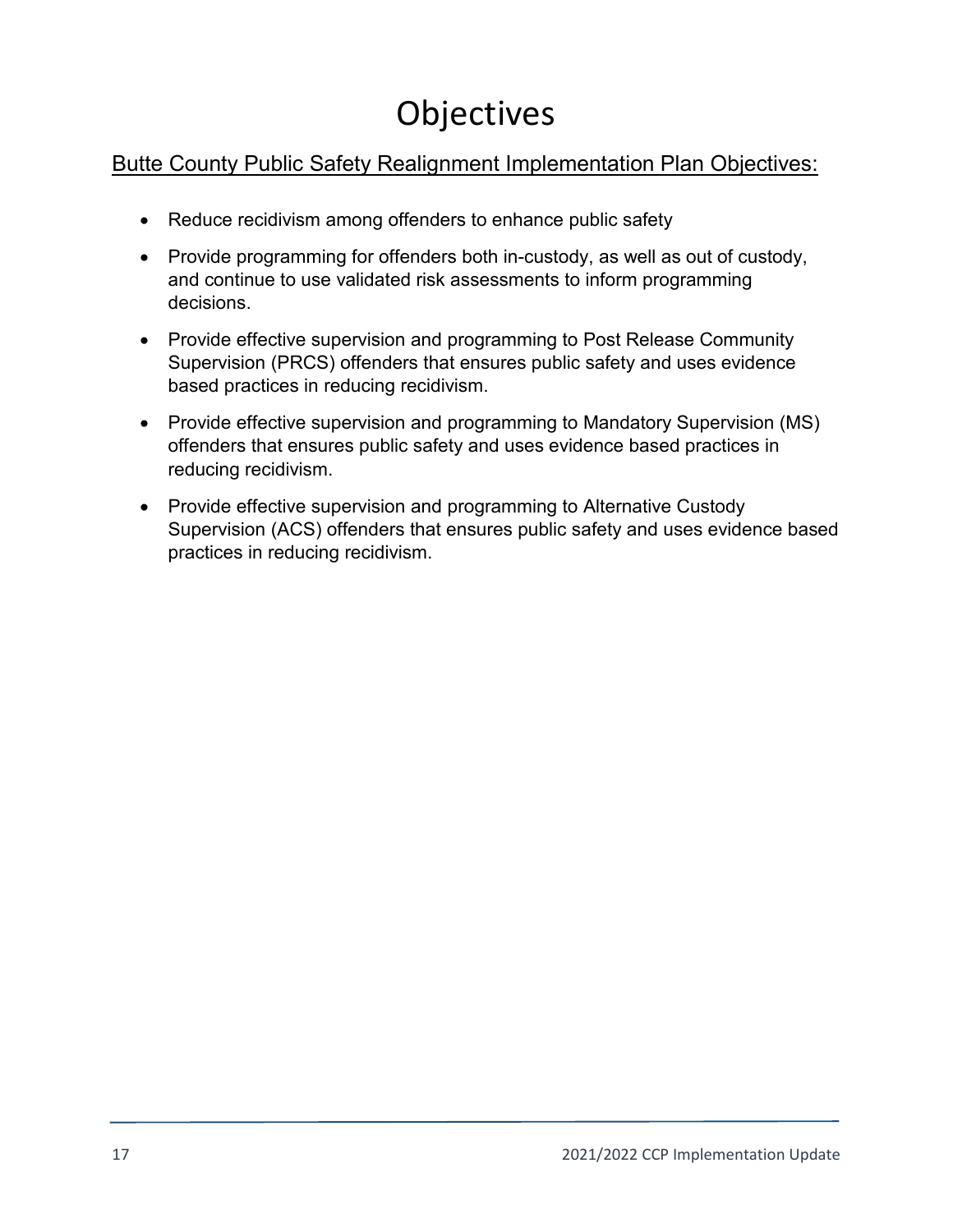# **Objectives**

### Butte County Public Safety Realignment Implementation Plan Objectives:

- Reduce recidivism among offenders to enhance public safety
- Provide programming for offenders both in-custody, as well as out of custody, and continue to use validated risk assessments to inform programming decisions.
- Provide effective supervision and programming to Post Release Community Supervision (PRCS) offenders that ensures public safety and uses evidence based practices in reducing recidivism.
- Provide effective supervision and programming to Mandatory Supervision (MS) offenders that ensures public safety and uses evidence based practices in reducing recidivism.
- Provide effective supervision and programming to Alternative Custody Supervision (ACS) offenders that ensures public safety and uses evidence based practices in reducing recidivism.